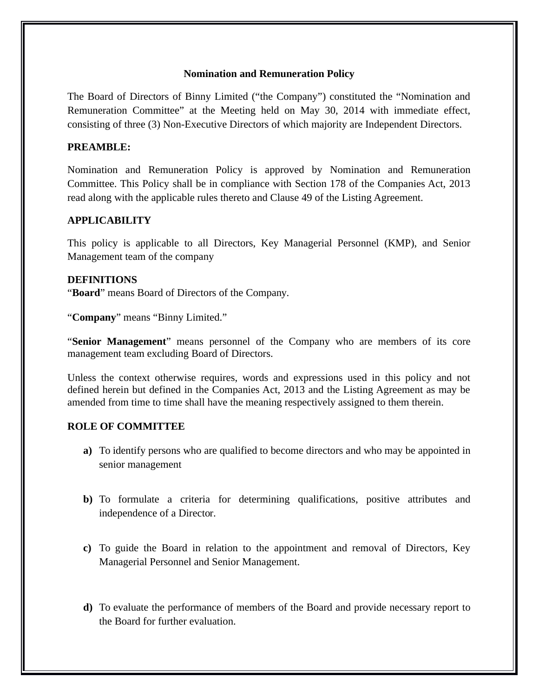## **Nomination and Remuneration Policy**

The Board of Directors of Binny Limited ("the Company") constituted the "Nomination and Remuneration Committee" at the Meeting held on May 30, 2014 with immediate effect, consisting of three (3) Non-Executive Directors of which majority are Independent Directors.

## **PREAMBLE:**

Nomination and Remuneration Policy is approved by Nomination and Remuneration Committee. This Policy shall be in compliance with Section 178 of the Companies Act, 2013 read along with the applicable rules thereto and Clause 49 of the Listing Agreement.

## **APPLICABILITY**

This policy is applicable to all Directors, Key Managerial Personnel (KMP), and Senior Management team of the company

#### **DEFINITIONS**

"**Board**" means Board of Directors of the Company.

"**Company**" means "Binny Limited."

"**Senior Management**" means personnel of the Company who are members of its core management team excluding Board of Directors.

Unless the context otherwise requires, words and expressions used in this policy and not defined herein but defined in the Companies Act, 2013 and the Listing Agreement as may be amended from time to time shall have the meaning respectively assigned to them therein.

## **ROLE OF COMMITTEE**

- **a)** To identify persons who are qualified to become directors and who may be appointed in senior management
- **b)** To formulate a criteria for determining qualifications, positive attributes and independence of a Director.
- **c)** To guide the Board in relation to the appointment and removal of Directors, Key Managerial Personnel and Senior Management.
- **d)** To evaluate the performance of members of the Board and provide necessary report to the Board for further evaluation.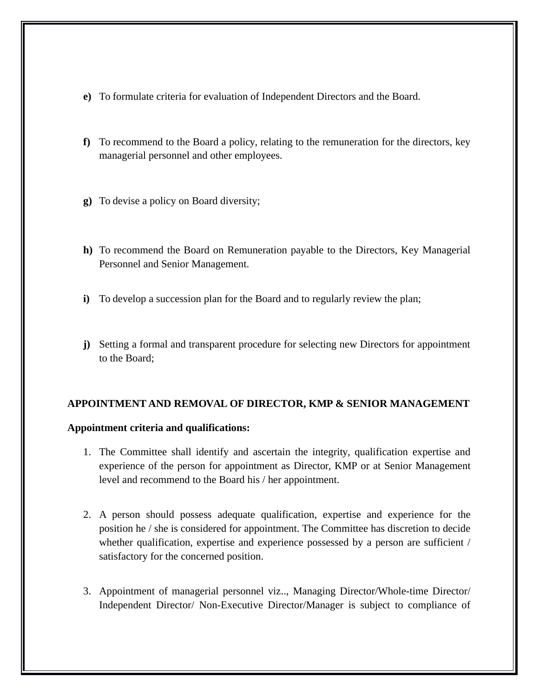- **e)** To formulate criteria for evaluation of Independent Directors and the Board.
- **f)** To recommend to the Board a policy, relating to the remuneration for the directors, key managerial personnel and other employees.
- **g)** To devise a policy on Board diversity;
- **h)** To recommend the Board on Remuneration payable to the Directors, Key Managerial Personnel and Senior Management.
- **i)** To develop a succession plan for the Board and to regularly review the plan;
- **j)** Setting a formal and transparent procedure for selecting new Directors for appointment to the Board;

## **APPOINTMENT AND REMOVAL OF DIRECTOR, KMP & SENIOR MANAGEMENT**

#### **Appointment criteria and qualifications:**

- 1. The Committee shall identify and ascertain the integrity, qualification expertise and experience of the person for appointment as Director, KMP or at Senior Management level and recommend to the Board his / her appointment.
- 2. A person should possess adequate qualification, expertise and experience for the position he / she is considered for appointment. The Committee has discretion to decide whether qualification, expertise and experience possessed by a person are sufficient / satisfactory for the concerned position.
- 3. Appointment of managerial personnel viz.., Managing Director/Whole-time Director/ Independent Director/ Non-Executive Director/Manager is subject to compliance of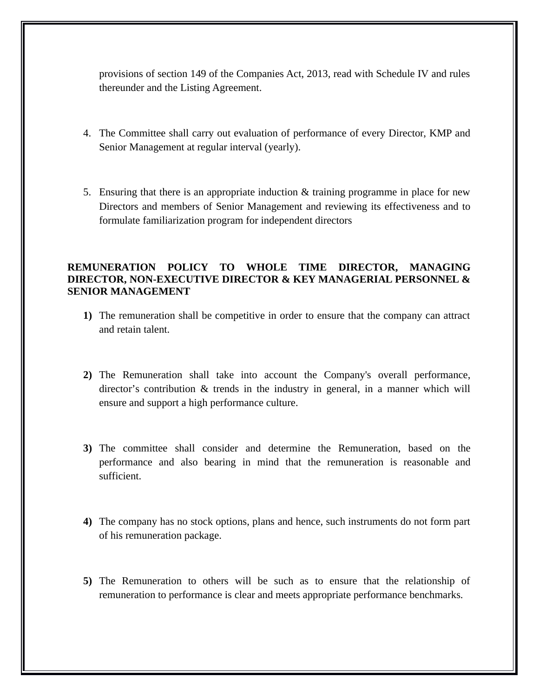provisions of section 149 of the Companies Act, 2013, read with Schedule IV and rules thereunder and the Listing Agreement.

- 4. The Committee shall carry out evaluation of performance of every Director, KMP and Senior Management at regular interval (yearly).
- 5. Ensuring that there is an appropriate induction & training programme in place for new Directors and members of Senior Management and reviewing its effectiveness and to formulate familiarization program for independent directors

## **REMUNERATION POLICY TO WHOLE TIME DIRECTOR, MANAGING DIRECTOR, NON-EXECUTIVE DIRECTOR & KEY MANAGERIAL PERSONNEL & SENIOR MANAGEMENT**

- **1)** The remuneration shall be competitive in order to ensure that the company can attract and retain talent.
- **2)** The Remuneration shall take into account the Company's overall performance, director's contribution & trends in the industry in general, in a manner which will ensure and support a high performance culture.
- **3)** The committee shall consider and determine the Remuneration, based on the performance and also bearing in mind that the remuneration is reasonable and sufficient.
- **4)** The company has no stock options, plans and hence, such instruments do not form part of his remuneration package.
- **5)** The Remuneration to others will be such as to ensure that the relationship of remuneration to performance is clear and meets appropriate performance benchmarks.